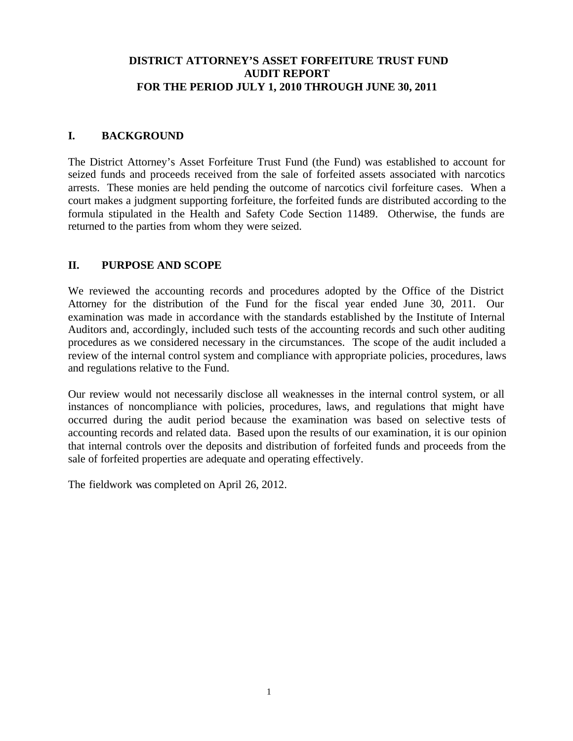# **DISTRICT ATTORNEY'S ASSET FORFEITURE TRUST FUND AUDIT REPORT FOR THE PERIOD JULY 1, 2010 THROUGH JUNE 30, 2011**

# **I. BACKGROUND**

The District Attorney's Asset Forfeiture Trust Fund (the Fund) was established to account for seized funds and proceeds received from the sale of forfeited assets associated with narcotics arrests. These monies are held pending the outcome of narcotics civil forfeiture cases. When a court makes a judgment supporting forfeiture, the forfeited funds are distributed according to the formula stipulated in the Health and Safety Code Section 11489. Otherwise, the funds are returned to the parties from whom they were seized.

# **II. PURPOSE AND SCOPE**

We reviewed the accounting records and procedures adopted by the Office of the District Attorney for the distribution of the Fund for the fiscal year ended June 30, 2011. Our examination was made in accordance with the standards established by the Institute of Internal Auditors and, accordingly, included such tests of the accounting records and such other auditing procedures as we considered necessary in the circumstances. The scope of the audit included a review of the internal control system and compliance with appropriate policies, procedures, laws and regulations relative to the Fund.

Our review would not necessarily disclose all weaknesses in the internal control system, or all instances of noncompliance with policies, procedures, laws, and regulations that might have occurred during the audit period because the examination was based on selective tests of accounting records and related data. Based upon the results of our examination, it is our opinion that internal controls over the deposits and distribution of forfeited funds and proceeds from the sale of forfeited properties are adequate and operating effectively.

The fieldwork was completed on April 26, 2012.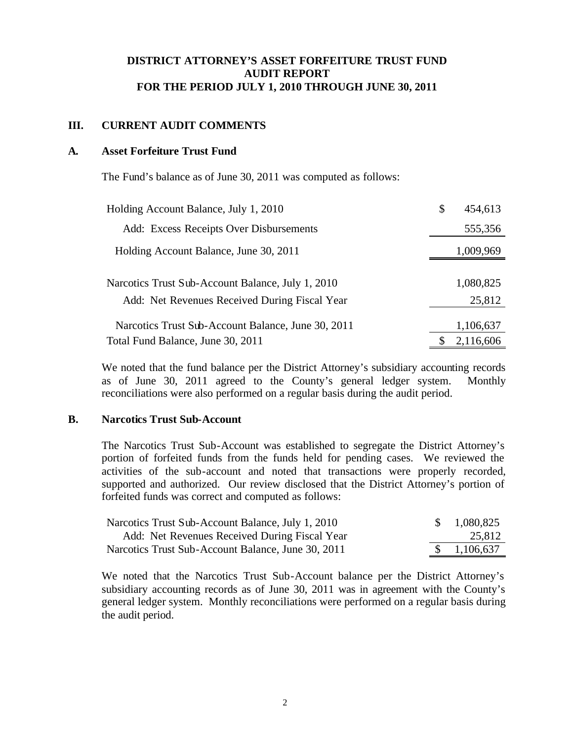# **DISTRICT ATTORNEY'S ASSET FORFEITURE TRUST FUND AUDIT REPORT FOR THE PERIOD JULY 1, 2010 THROUGH JUNE 30, 2011**

## **III. CURRENT AUDIT COMMENTS**

## **A. Asset Forfeiture Trust Fund**

The Fund's balance as of June 30, 2011 was computed as follows:

| Holding Account Balance, July 1, 2010              | \$<br>454,613 |
|----------------------------------------------------|---------------|
| Add: Excess Receipts Over Disbursements            | 555,356       |
| Holding Account Balance, June 30, 2011             | 1,009,969     |
|                                                    |               |
| Narcotics Trust Sub-Account Balance, July 1, 2010  | 1,080,825     |
| Add: Net Revenues Received During Fiscal Year      | 25,812        |
| Narcotics Trust Sub-Account Balance, June 30, 2011 | 1,106,637     |
| Total Fund Balance, June 30, 2011                  | 2,116,606     |

We noted that the fund balance per the District Attorney's subsidiary accounting records as of June 30, 2011 agreed to the County's general ledger system. Monthly reconciliations were also performed on a regular basis during the audit period.

### **B. Narcotics Trust Sub-Account**

The Narcotics Trust Sub-Account was established to segregate the District Attorney's portion of forfeited funds from the funds held for pending cases. We reviewed the activities of the sub-account and noted that transactions were properly recorded, supported and authorized. Our review disclosed that the District Attorney's portion of forfeited funds was correct and computed as follows:

| Narcotics Trust Sub-Account Balance, July 1, 2010  | \$1,080,825            |
|----------------------------------------------------|------------------------|
| Add: Net Revenues Received During Fiscal Year      | 25,812                 |
| Narcotics Trust Sub-Account Balance, June 30, 2011 | $\frac{\$}{1,106,637}$ |

We noted that the Narcotics Trust Sub-Account balance per the District Attorney's subsidiary accounting records as of June 30, 2011 was in agreement with the County's general ledger system. Monthly reconciliations were performed on a regular basis during the audit period.